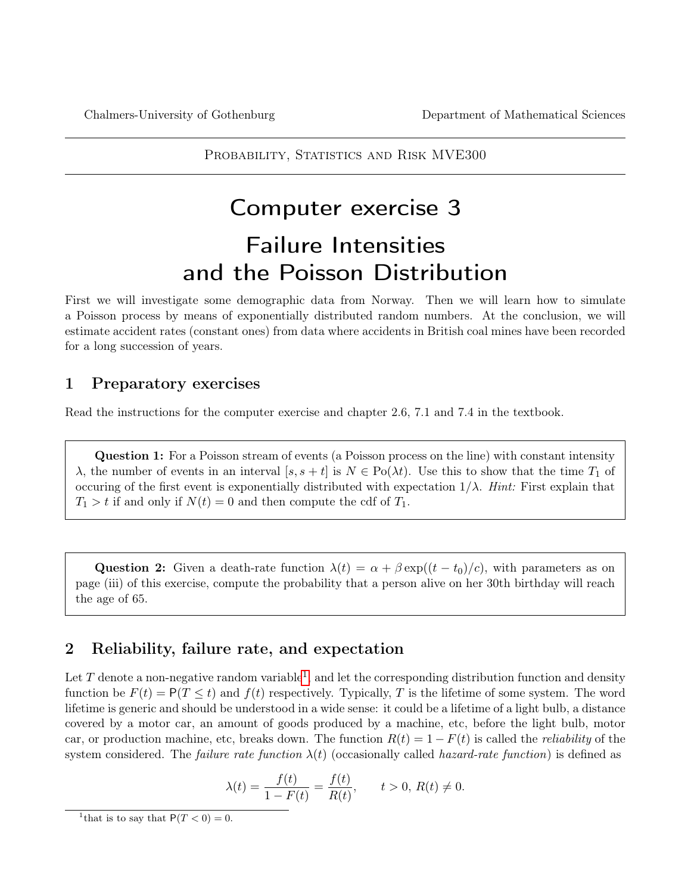<span id="page-0-1"></span>PROBABILITY, STATISTICS AND RISK MVE300

## Computer exercise 3

# Failure Intensities and the Poisson Distribution

First we will investigate some demographic data from Norway. Then we will learn how to simulate a Poisson process by means of exponentially distributed random numbers. At the conclusion, we will estimate accident rates (constant ones) from data where accidents in British coal mines have been recorded for a long succession of years.

## 1 Preparatory exercises

Read the instructions for the computer exercise and chapter 2.6, 7.1 and 7.4 in the textbook.

Question 1: For a Poisson stream of events (a Poisson process on the line) with constant intensity λ, the number of events in an interval [s, s + t] is  $N \in Po(\lambda t)$ . Use this to show that the time  $T_1$  of occuring of the first event is exponentially distributed with expectation  $1/\lambda$ . Hint: First explain that  $T_1 > t$  if and only if  $N(t) = 0$  and then compute the cdf of  $T_1$ .

Question 2: Given a death-rate function  $\lambda(t) = \alpha + \beta \exp((t - t_0)/c)$ , with parameters as on page (iii) of this exercise, compute the probability that a person alive on her 30th birthday will reach the age of 65.

## 2 Reliability, failure rate, and expectation

Let T denote a non-negative random variable<sup>[1](#page-0-0)</sup>, and let the corresponding distribution function and density function be  $F(t) = P(T \le t)$  and  $f(t)$  respectively. Typically, T is the lifetime of some system. The word lifetime is generic and should be understood in a wide sense: it could be a lifetime of a light bulb, a distance covered by a motor car, an amount of goods produced by a machine, etc, before the light bulb, motor car, or production machine, etc, breaks down. The function  $R(t) = 1 - F(t)$  is called the *reliability* of the system considered. The *failure rate function*  $\lambda(t)$  (occasionally called *hazard-rate function*) is defined as

$$
\lambda(t) = \frac{f(t)}{1 - F(t)} = \frac{f(t)}{R(t)}, \qquad t > 0, \ R(t) \neq 0.
$$

<span id="page-0-0"></span><sup>&</sup>lt;sup>1</sup> that is to say that  $P(T < 0) = 0$ .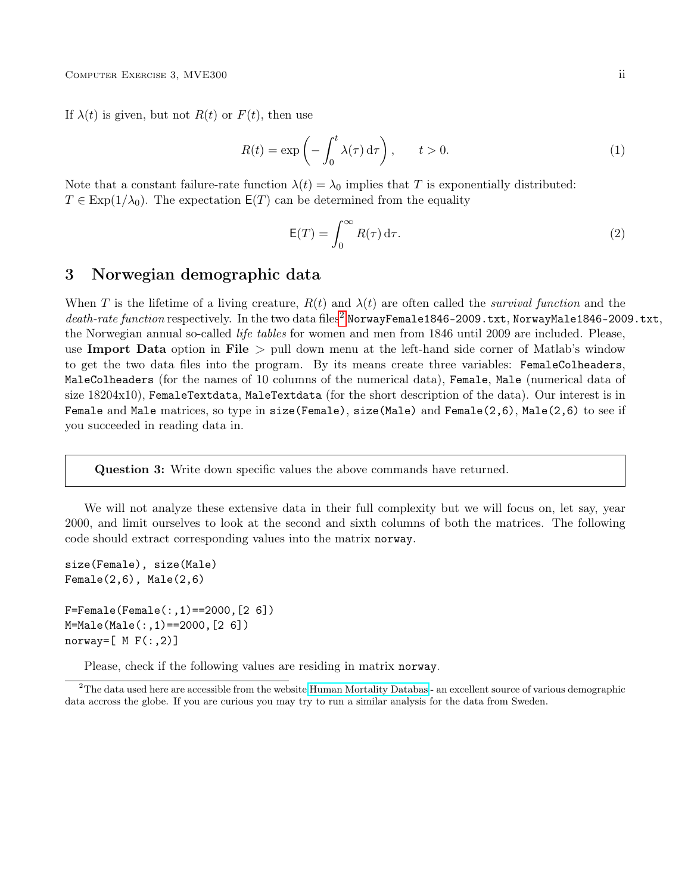If  $\lambda(t)$  is given, but not  $R(t)$  or  $F(t)$ , then use

<span id="page-1-1"></span>
$$
R(t) = \exp\left(-\int_0^t \lambda(\tau) d\tau\right), \qquad t > 0.
$$
 (1)

Note that a constant failure-rate function  $\lambda(t) = \lambda_0$  implies that T is exponentially distributed:  $T \in \text{Exp}(1/\lambda_0)$ . The expectation  $\mathsf{E}(T)$  can be determined from the equality

<span id="page-1-2"></span>
$$
\mathsf{E}(T) = \int_0^\infty R(\tau) \,\mathrm{d}\tau. \tag{2}
$$

### 3 Norwegian demographic data

When T is the lifetime of a living creature,  $R(t)$  and  $\lambda(t)$  are often called the *survival function* and the death-rate function respectively. In the two data files<sup>[2](#page-1-0)</sup> NorwayFemale1846-2009.txt, NorwayMale1846-2009.txt, the Norwegian annual so-called life tables for women and men from 1846 until 2009 are included. Please, use Import Data option in File  $>$  pull down menu at the left-hand side corner of Matlab's window to get the two data files into the program. By its means create three variables: FemaleColheaders, MaleColheaders (for the names of 10 columns of the numerical data), Female, Male (numerical data of size 18204x10), FemaleTextdata, MaleTextdata (for the short description of the data). Our interest is in Female and Male matrices, so type in size(Female), size(Male) and Female(2,6), Male(2,6) to see if you succeeded in reading data in.

Question 3: Write down specific values the above commands have returned.

We will not analyze these extensive data in their full complexity but we will focus on, let say, year 2000, and limit ourselves to look at the second and sixth columns of both the matrices. The following code should extract corresponding values into the matrix norway.

```
size(Female), size(Male)
Female(2,6), Male(2,6)F =Female(Female(:,1)==2000,[2 6])
M=Male(Male(:,1)==2000,[2 6])
norway=[M F(:,2)]
```
Please, check if the following values are residing in matrix norway.

<span id="page-1-0"></span> $2$ The data used here are accessible from the website [Human Mortality Databas](http://www.mortality.org/) - an excellent source of various demographic data accross the globe. If you are curious you may try to run a similar analysis for the data from Sweden.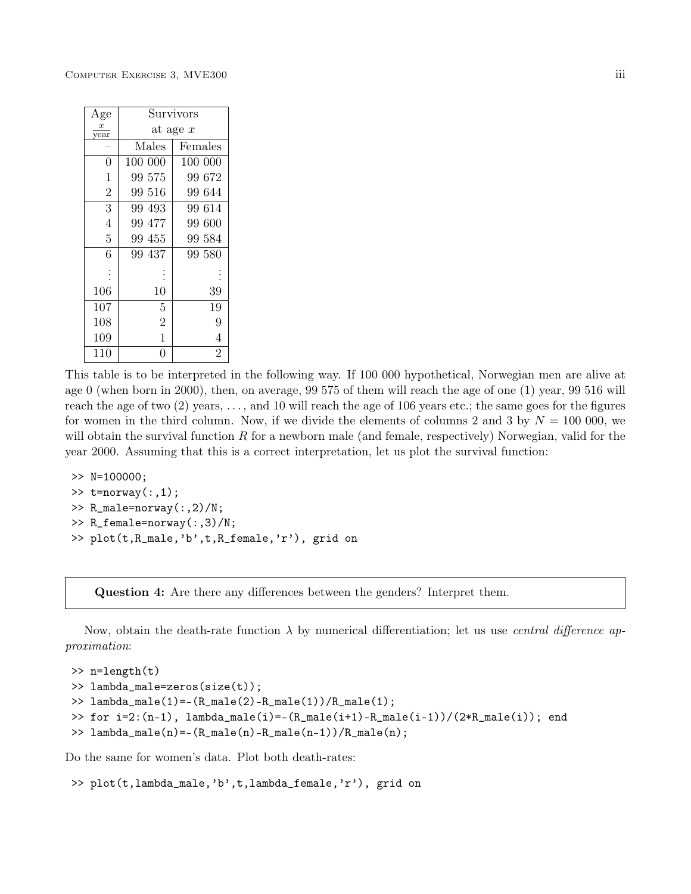| Age            |                | Survivors      |
|----------------|----------------|----------------|
| x<br>year      | at age $x$     |                |
|                | Males          | Females        |
| $\overline{0}$ | 100 000        | 100 000        |
| $\mathbf{1}$   | 99 575         | 99672          |
| $\overline{2}$ | 99 516         | 99 644         |
| 3              | 99 493         | 99 614         |
| $\overline{4}$ | 99 477         | 99 600         |
| $\overline{5}$ | 99 455         | 99 584         |
| 6              | 99 437         | 99 580         |
|                |                |                |
| 106            | 10             | 39             |
| 107            | 5              | 19             |
| 108            | $\overline{2}$ | 9              |
| 109            | $\mathbf 1$    | 4              |
| 110            | 0              | $\overline{2}$ |

This table is to be interpreted in the following way. If 100 000 hypothetical, Norwegian men are alive at age 0 (when born in 2000), then, on average, 99 575 of them will reach the age of one (1) year, 99 516 will reach the age of two (2) years, . . . , and 10 will reach the age of 106 years etc.; the same goes for the figures for women in the third column. Now, if we divide the elements of columns 2 and 3 by  $N = 100000$ , we will obtain the survival function  $R$  for a newborn male (and female, respectively) Norwegian, valid for the year 2000. Assuming that this is a correct interpretation, let us plot the survival function:

```
>> N=100000;
\gg t=norway(:,1);
>> R_male=norway(:,2)/N;
>> R_female=norway(:,3)/N;
>> plot(t,R_male,'b',t,R_female,'r'), grid on
```
Question 4: Are there any differences between the genders? Interpret them.

Now, obtain the death-rate function  $\lambda$  by numerical differentiation; let us use *central difference ap*proximation:

```
>> n=length(t)
>> lambda_male=zeros(size(t));
\gg lambda_male(1)=-(R_male(2)-R_male(1))/R_male(1);
>> for i=2:(n-1), lambda_male(i)=-(R_male(i+1)-R_male(i-1))/(2*B_male(i)); end
\geq lambda_male(n)=-(R_male(n)-R_male(n-1))/R_male(n);
```
Do the same for women's data. Plot both death-rates:

```
>> plot(t,lambda_male,'b',t,lambda_female,'r'), grid on
```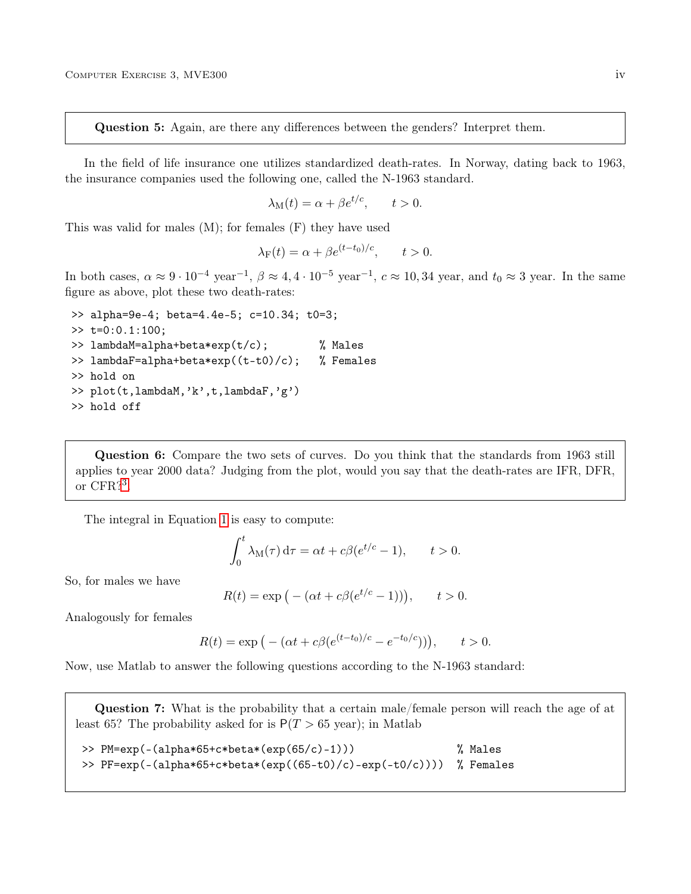Question 5: Again, are there any differences between the genders? Interpret them.

In the field of life insurance one utilizes standardized death-rates. In Norway, dating back to 1963, the insurance companies used the following one, called the N-1963 standard.

$$
\lambda_{\mathcal{M}}(t) = \alpha + \beta e^{t/c}, \qquad t > 0.
$$

This was valid for males (M); for females (F) they have used

$$
\lambda_{\mathcal{F}}(t) = \alpha + \beta e^{(t - t_0)/c}, \qquad t > 0.
$$

In both cases,  $\alpha \approx 9 \cdot 10^{-4}$  year<sup>-1</sup>,  $\beta \approx 4, 4 \cdot 10^{-5}$  year<sup>-1</sup>,  $c \approx 10, 34$  year, and  $t_0 \approx 3$  year. In the same figure as above, plot these two death-rates:

```
>> alpha=9e-4; beta=4.4e-5; c=10.34; t0=3;
\gg t=0:0.1:100;
>> lambdaM=alpha+beta*exp(t/c); % Males
>> lambdaF=alpha+beta*exp((t-t0)/c); % Females
>> hold on
>> plot(t,lambdaM,'k',t,lambdaF,'g')
>> hold off
```
Question 6: Compare the two sets of curves. Do you think that the standards from 1963 still applies to year 2000 data? Judging from the plot, would you say that the death-rates are IFR, DFR, or CFR?[3](#page-0-1) .

The integral in Equation [1](#page-1-1) is easy to compute:

$$
\int_0^t \lambda_\mathrm{M}(\tau) \, \mathrm{d}\tau = \alpha t + c\beta (e^{t/c} - 1), \qquad t > 0.
$$

So, for males we have

$$
R(t) = \exp\left(-\left(\alpha t + c\beta (e^{t/c} - 1)\right)\right), \qquad t > 0.
$$

Analogously for females

$$
R(t) = \exp\left(-\left(\alpha t + c\beta (e^{(t-t_0)/c} - e^{-t_0/c})\right)\right), \quad t > 0.
$$

Now, use Matlab to answer the following questions according to the N-1963 standard:

Question 7: What is the probability that a certain male/female person will reach the age of at least 65? The probability asked for is  $P(T > 65 \text{ year})$ ; in Matlab

```
>> PM=exp(-(alpha*65+c*beta*(exp(65/c)-1))) % Males
>> PF=exp(-(alpha*65+c*beta*(exp((65-t0)/c)-exp(-t0/c)))) % Females
```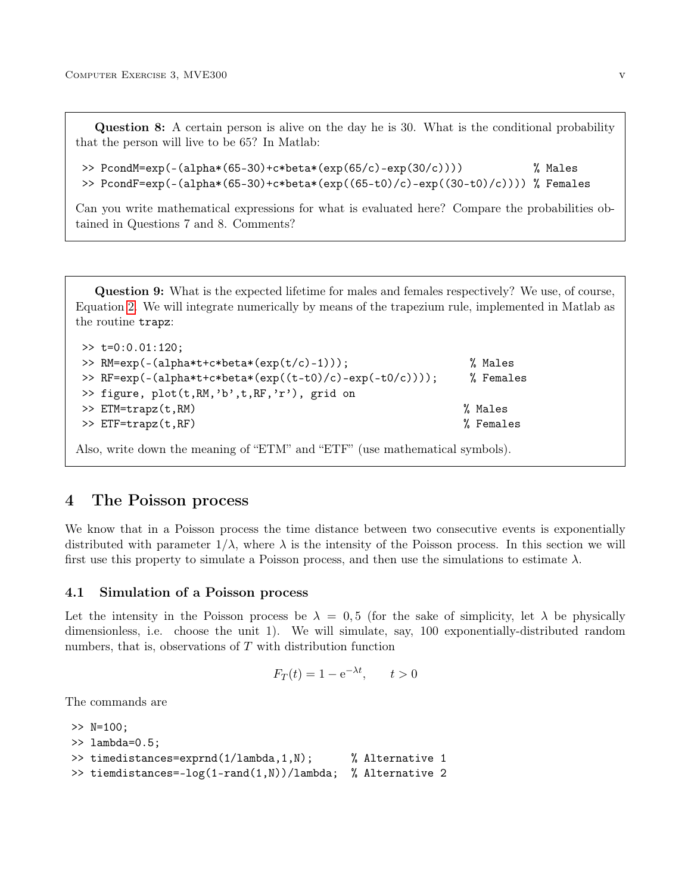Question 8: A certain person is alive on the day he is 30. What is the conditional probability that the person will live to be 65? In Matlab:

```
>> PcondM=exp(-(alpha*(65-30)+c*beta*(exp(65/c)-exp(30/c)))) % Males
>> PcondF=exp(-(alpha*(65-30)+c*beta*(exp((65-t0)/c)-exp((30-t0)/c)))) % Females
```
Can you write mathematical expressions for what is evaluated here? Compare the probabilities obtained in Questions 7 and 8. Comments?

Question 9: What is the expected lifetime for males and females respectively? We use, of course, Equation [2.](#page-1-2) We will integrate numerically by means of the trapezium rule, implemented in Matlab as the routine trapz:

| $\gg$ t=0:0.01:120;                                      |           |
|----------------------------------------------------------|-----------|
| >> RM= $\exp(-(alpha*t+c*beta*(exp(t/c)-1)))$ ;          | % Males   |
| >> RF=exp(-(alpha*t+c*beta*(exp((t-t0)/c)-exp(-t0/c)))); | % Females |
| >> figure, plot(t,RM,'b',t,RF,'r'), grid on              |           |
| $>> ETM=trapz(t, RM)$                                    | % Males   |
| $\gg$ ETF=trapz(t,RF)                                    | % Females |
|                                                          |           |

Also, write down the meaning of "ETM" and "ETF" (use mathematical symbols).

#### 4 The Poisson process

We know that in a Poisson process the time distance between two consecutive events is exponentially distributed with parameter  $1/\lambda$ , where  $\lambda$  is the intensity of the Poisson process. In this section we will first use this property to simulate a Poisson process, and then use the simulations to estimate  $\lambda$ .

#### 4.1 Simulation of a Poisson process

Let the intensity in the Poisson process be  $\lambda = 0.5$  (for the sake of simplicity, let  $\lambda$  be physically dimensionless, i.e. choose the unit 1). We will simulate, say, 100 exponentially-distributed random numbers, that is, observations of  $T$  with distribution function

$$
F_T(t) = 1 - e^{-\lambda t}, \qquad t > 0
$$

The commands are

```
>> N=100;
>> lambda=0.5;
>> timedistances=exprnd(1/lambda,1,N); % Alternative 1
>> tiemdistances=-log(1-rand(1,N))/lambda; % Alternative 2
```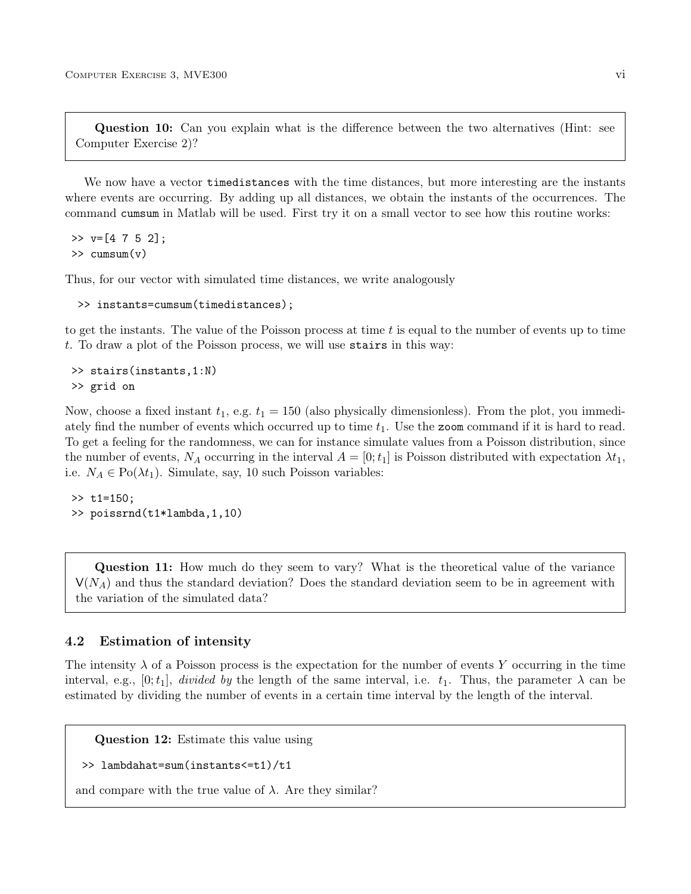Question 10: Can you explain what is the difference between the two alternatives (Hint: see Computer Exercise 2)?

We now have a vector timedistances with the time distances, but more interesting are the instants where events are occurring. By adding up all distances, we obtain the instants of the occurrences. The command cumsum in Matlab will be used. First try it on a small vector to see how this routine works:

```
>> v=[4 7 5 2];>> cumsum(v)
```
Thus, for our vector with simulated time distances, we write analogously

```
>> instants=cumsum(timedistances);
```
to get the instants. The value of the Poisson process at time t is equal to the number of events up to time t. To draw a plot of the Poisson process, we will use stairs in this way:

```
>> stairs(instants,1:N)
>> grid on
```
Now, choose a fixed instant  $t_1$ , e.g.  $t_1 = 150$  (also physically dimensionless). From the plot, you immediately find the number of events which occurred up to time  $t_1$ . Use the zoom command if it is hard to read. To get a feeling for the randomness, we can for instance simulate values from a Poisson distribution, since the number of events,  $N_A$  occurring in the interval  $A = [0; t_1]$  is Poisson distributed with expectation  $\lambda t_1$ , i.e.  $N_A \in \text{Po}(\lambda t_1)$ . Simulate, say, 10 such Poisson variables:

 $>> t1=150;$ >> poissrnd(t1\*lambda,1,10)

Question 11: How much do they seem to vary? What is the theoretical value of the variance  $V(N_A)$  and thus the standard deviation? Does the standard deviation seem to be in agreement with the variation of the simulated data?

#### 4.2 Estimation of intensity

The intensity  $\lambda$  of a Poisson process is the expectation for the number of events Y occurring in the time interval, e.g.,  $[0; t_1]$ , divided by the length of the same interval, i.e.  $t_1$ . Thus, the parameter  $\lambda$  can be estimated by dividing the number of events in a certain time interval by the length of the interval.

Question 12: Estimate this value using

```
>> lambdahat=sum(instants<=t1)/t1
```
and compare with the true value of  $\lambda$ . Are they similar?